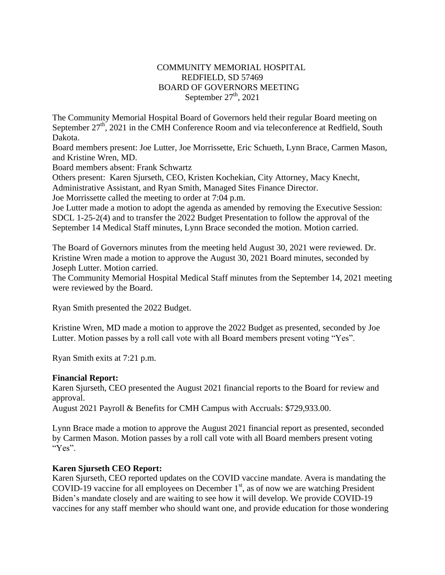# COMMUNITY MEMORIAL HOSPITAL REDFIELD, SD 57469 BOARD OF GOVERNORS MEETING September  $27<sup>th</sup>$ , 2021

The Community Memorial Hospital Board of Governors held their regular Board meeting on September  $27<sup>th</sup>$ , 2021 in the CMH Conference Room and via teleconference at Redfield, South Dakota.

Board members present: Joe Lutter, Joe Morrissette, Eric Schueth, Lynn Brace, Carmen Mason, and Kristine Wren, MD.

Board members absent: Frank Schwartz

Others present: Karen Sjurseth, CEO, Kristen Kochekian, City Attorney, Macy Knecht, Administrative Assistant, and Ryan Smith, Managed Sites Finance Director. Joe Morrissette called the meeting to order at 7:04 p.m.

Joe Lutter made a motion to adopt the agenda as amended by removing the Executive Session: SDCL 1-25-2(4) and to transfer the 2022 Budget Presentation to follow the approval of the September 14 Medical Staff minutes, Lynn Brace seconded the motion. Motion carried.

The Board of Governors minutes from the meeting held August 30, 2021 were reviewed. Dr. Kristine Wren made a motion to approve the August 30, 2021 Board minutes, seconded by Joseph Lutter. Motion carried.

The Community Memorial Hospital Medical Staff minutes from the September 14, 2021 meeting were reviewed by the Board.

Ryan Smith presented the 2022 Budget.

Kristine Wren, MD made a motion to approve the 2022 Budget as presented, seconded by Joe Lutter. Motion passes by a roll call vote with all Board members present voting "Yes".

Ryan Smith exits at 7:21 p.m.

#### **Financial Report:**

Karen Sjurseth, CEO presented the August 2021 financial reports to the Board for review and approval.

August 2021 Payroll & Benefits for CMH Campus with Accruals: \$729,933.00.

Lynn Brace made a motion to approve the August 2021 financial report as presented, seconded by Carmen Mason. Motion passes by a roll call vote with all Board members present voting "Yes".

# **Karen Sjurseth CEO Report:**

Karen Sjurseth, CEO reported updates on the COVID vaccine mandate. Avera is mandating the COVID-19 vaccine for all employees on December  $1<sup>st</sup>$ , as of now we are watching President Biden's mandate closely and are waiting to see how it will develop. We provide COVID-19 vaccines for any staff member who should want one, and provide education for those wondering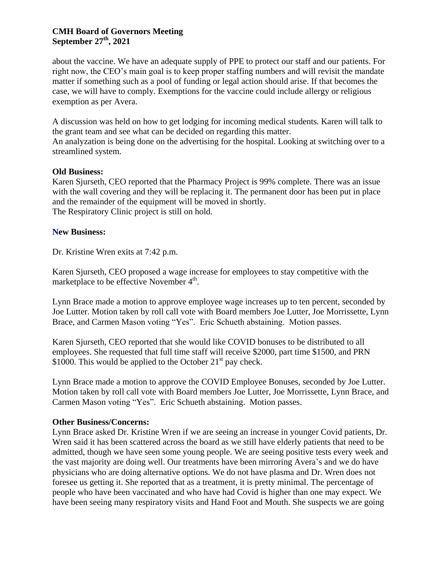# **CMH Board of Governors Meeting September 27th , 2021**

about the vaccine. We have an adequate supply of PPE to protect our staff and our patients. For right now, the CEO's main goal is to keep proper staffing numbers and will revisit the mandate matter if something such as a pool of funding or legal action should arise. If that becomes the case, we will have to comply. Exemptions for the vaccine could include allergy or religious exemption as per Avera.

A discussion was held on how to get lodging for incoming medical students. Karen will talk to the grant team and see what can be decided on regarding this matter.

An analyzation is being done on the advertising for the hospital. Looking at switching over to a streamlined system.

### **Old Business:**

Karen Sjurseth, CEO reported that the Pharmacy Project is 99% complete. There was an issue with the wall covering and they will be replacing it. The permanent door has been put in place and the remainder of the equipment will be moved in shortly. The Respiratory Clinic project is still on hold.

### **New Business:**

Dr. Kristine Wren exits at 7:42 p.m.

Karen Sjurseth, CEO proposed a wage increase for employees to stay competitive with the marketplace to be effective November 4<sup>th</sup>.

Lynn Brace made a motion to approve employee wage increases up to ten percent, seconded by Joe Lutter. Motion taken by roll call vote with Board members Joe Lutter, Joe Morrissette, Lynn Brace, and Carmen Mason voting "Yes". Eric Schueth abstaining. Motion passes.

Karen Sjurseth, CEO reported that she would like COVID bonuses to be distributed to all employees. She requested that full time staff will receive \$2000, part time \$1500, and PRN \$1000. This would be applied to the October  $21^{st}$  pay check.

Lynn Brace made a motion to approve the COVID Employee Bonuses, seconded by Joe Lutter. Motion taken by roll call vote with Board members Joe Lutter, Joe Morrissette, Lynn Brace, and Carmen Mason voting "Yes". Eric Schueth abstaining. Motion passes.

#### **Other Business/Concerns:**

Lynn Brace asked Dr. Kristine Wren if we are seeing an increase in younger Covid patients, Dr. Wren said it has been scattered across the board as we still have elderly patients that need to be admitted, though we have seen some young people. We are seeing positive tests every week and the vast majority are doing well. Our treatments have been mirroring Avera's and we do have physicians who are doing alternative options. We do not have plasma and Dr. Wren does not foresee us getting it. She reported that as a treatment, it is pretty minimal. The percentage of people who have been vaccinated and who have had Covid is higher than one may expect. We have been seeing many respiratory visits and Hand Foot and Mouth. She suspects we are going